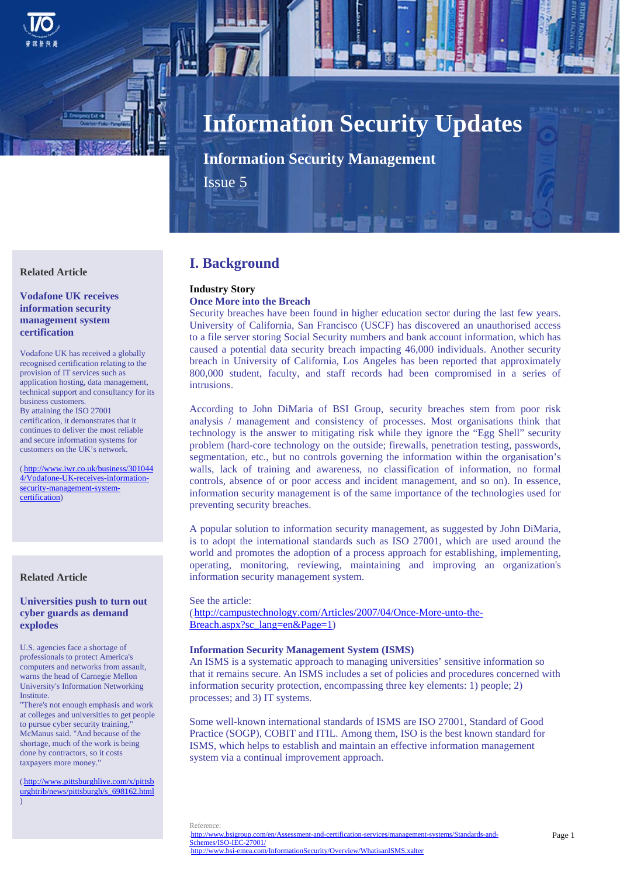

# **Information Security Updates**

**Information Security Management**

Issue 5

## **Related Article**

## **Vodafone UK receives information security management system certification**

Vodafone UK has received a globally recognised certification relating to the provision of IT services such as application hosting, data management, technical support and consultancy for its business customers. By attaining the ISO 27001 certification, it demonstrates that it continues to deliver the most reliable and secure information systems for customers on the UK's network.

(http://www.iwr.co.uk/business/301044 4/Vodafone-UK-receives-informationsecurity-management-systemcertification)

# **Related Article**

#### **Universities push to turn out cyber guards as demand explodes**

U.S. agencies face a shortage of professionals to protect America's computers and networks from assault, warns the head of Carnegie Mellon University's Information Networking Institute.

"There's not enough emphasis and work at colleges and universities to get people to pursue cyber security training, McManus said. "And because of the shortage, much of the work is being done by contractors, so it costs taxpayers more money."

(http://www.pittsburghlive.com/x/pittsb urghtrib/news/pittsburgh/s\_698162.html )

# **I. Background**

# **Industry Story**

# **Once More into the Breach**

Security breaches have been found in higher education sector during the last few years. University of California, San Francisco (USCF) has discovered an unauthorised access to a file server storing Social Security numbers and bank account information, which has caused a potential data security breach impacting 46,000 individuals. Another security breach in University of California, Los Angeles has been reported that approximately 800,000 student, faculty, and staff records had been compromised in a series of intrusions.

According to John DiMaria of BSI Group, security breaches stem from poor risk analysis / management and consistency of processes. Most organisations think that technology is the answer to mitigating risk while they ignore the "Egg Shell" security problem (hard-core technology on the outside; firewalls, penetration testing, passwords, segmentation, etc., but no controls governing the information within the organisation's walls, lack of training and awareness, no classification of information, no formal controls, absence of or poor access and incident management, and so on). In essence, information security management is of the same importance of the technologies used for preventing security breaches.

A popular solution to information security management, as suggested by John DiMaria, is to adopt the international standards such as ISO 27001, which are used around the world and promotes the adoption of a process approach for establishing, implementing, operating, monitoring, reviewing, maintaining and improving an organization's information security management system.

#### See the article:

(http://campustechnology.com/Articles/2007/04/Once-More-unto-the-Breach.aspx?sc\_lang=en&Page=1)

#### **Information Security Management System (ISMS)**

An ISMS is a systematic approach to managing universities' sensitive information so that it remains secure. An ISMS includes a set of policies and procedures concerned with information security protection, encompassing three key elements: 1) people; 2) processes; and 3) IT systems.

Some well-known international standards of ISMS are ISO 27001, Standard of Good Practice (SOGP), COBIT and ITIL. Among them, ISO is the best known standard for ISMS, which helps to establish and maintain an effective information management system via a continual improvement approach.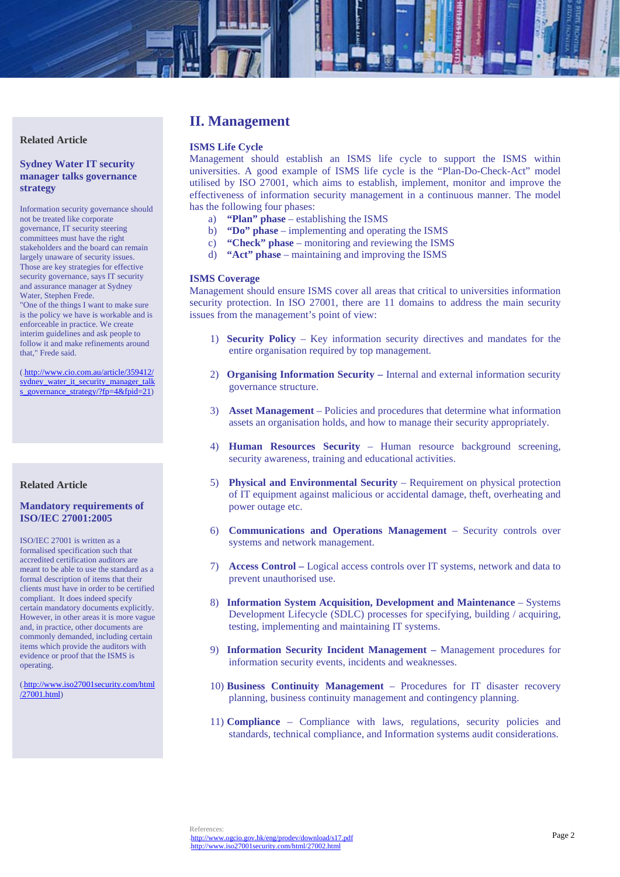

## **Sydney Water IT security manager talks governance strategy**

Information security governance should not be treated like corporate governance, IT security steering committees must have the right stakeholders and the board can remain largely unaware of security issues. Those are key strategies for effective security governance, says IT security and assurance manager at Sydney Water, Stephen Frede.

"One of the things I want to make sure is the policy we have is workable and is enforceable in practice. We create interim guidelines and ask people to follow it and make refinements around that," Frede said.

(.http://www.cio.com.au/article/359412/ sydney\_water\_it\_security\_manager\_talk s\_governance\_strategy/?fp=4&fpid=21)

# **Related Article**

#### **Mandatory requirements of ISO/IEC 27001:2005**

ISO/IEC 27001 is written as a formalised specification such that accredited certification auditors are meant to be able to use the standard as a formal description of items that their clients must have in order to be certified compliant. It does indeed specify certain mandatory documents explicitly. However, in other areas it is more vague and, in practice, other documents are commonly demanded, including certain items which provide the auditors with evidence or proof that the ISMS is operating.

(8Hhttp://www.iso27001security.com/html /27001.html)

# **II. Management**

# **ISMS Life Cycle**

Management should establish an ISMS life cycle to support the ISMS within universities. A good example of ISMS life cycle is the "Plan-Do-Check-Act" model utilised by ISO 27001, which aims to establish, implement, monitor and improve the effectiveness of information security management in a continuous manner. The model has the following four phases:

- a) **"Plan" phase** establishing the ISMS
- b) **"Do" phase** implementing and operating the ISMS
- c) **"Check" phase** monitoring and reviewing the ISMS
- d) **"Act" phase**  maintaining and improving the ISMS

#### **ISMS Coverage**

Management should ensure ISMS cover all areas that critical to universities information security protection. In ISO 27001, there are 11 domains to address the main security issues from the management's point of view:

- 1) **Security Policy**  Key information security directives and mandates for the entire organisation required by top management.
- 2) **Organising Information Security** Internal and external information security governance structure.
- 3) **Asset Management** Policies and procedures that determine what information assets an organisation holds, and how to manage their security appropriately.
- 4) **Human Resources Security** Human resource background screening, security awareness, training and educational activities.
- 5) **Physical and Environmental Security** Requirement on physical protection of IT equipment against malicious or accidental damage, theft, overheating and power outage etc.
- 6) **Communications and Operations Management**  Security controls over systems and network management.
- 7) **Access Control** Logical access controls over IT systems, network and data to prevent unauthorised use.
- 8) **Information System Acquisition, Development and Maintenance**  Systems Development Lifecycle (SDLC) processes for specifying, building / acquiring, testing, implementing and maintaining IT systems.
- 9) **Information Security Incident Management** Management procedures for information security events, incidents and weaknesses.
- 10) **Business Continuity Management** Procedures for IT disaster recovery planning, business continuity management and contingency planning.
- 11) **Compliance**  Compliance with laws, regulations, security policies and standards, technical compliance, and Information systems audit considerations.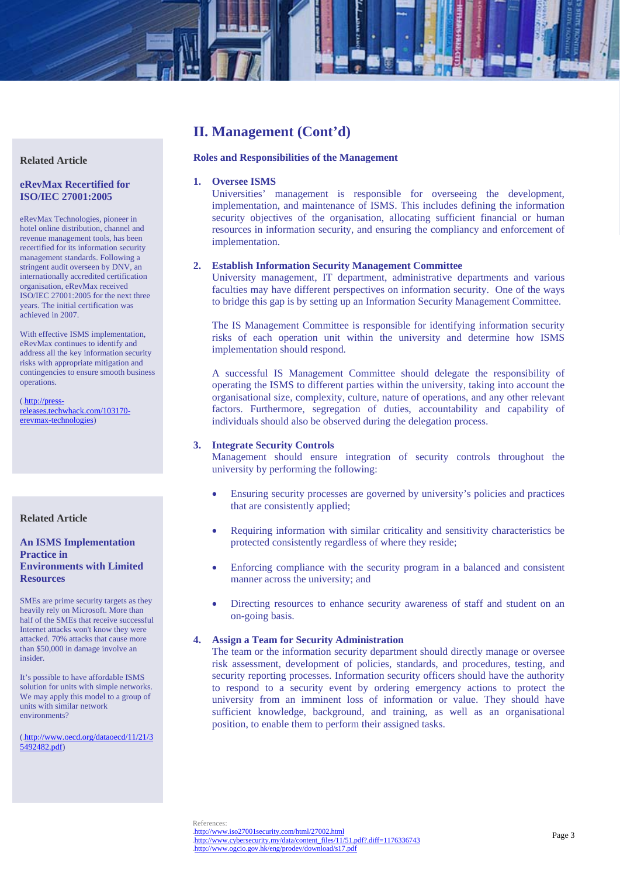

# **II. Management (Cont'd)**

#### **Roles and Responsibilities of the Management**

#### **1. Oversee ISMS**

Universities' management is responsible for overseeing the development, implementation, and maintenance of ISMS. This includes defining the information security objectives of the organisation, allocating sufficient financial or human resources in information security, and ensuring the compliancy and enforcement of implementation.

#### **2. Establish Information Security Management Committee**

University management, IT department, administrative departments and various faculties may have different perspectives on information security. One of the ways to bridge this gap is by setting up an Information Security Management Committee.

The IS Management Committee is responsible for identifying information security risks of each operation unit within the university and determine how ISMS implementation should respond.

A successful IS Management Committee should delegate the responsibility of operating the ISMS to different parties within the university, taking into account the organisational size, complexity, culture, nature of operations, and any other relevant factors. Furthermore, segregation of duties, accountability and capability of individuals should also be observed during the delegation process.

#### **3. Integrate Security Controls**

Management should ensure integration of security controls throughout the university by performing the following:

- Ensuring security processes are governed by university's policies and practices that are consistently applied;
- Requiring information with similar criticality and sensitivity characteristics be protected consistently regardless of where they reside;
- Enforcing compliance with the security program in a balanced and consistent manner across the university; and
- Directing resources to enhance security awareness of staff and student on an on-going basis.

#### **4. Assign a Team for Security Administration**

The team or the information security department should directly manage or oversee risk assessment, development of policies, standards, and procedures, testing, and security reporting processes. Information security officers should have the authority to respond to a security event by ordering emergency actions to protect the university from an imminent loss of information or value. They should have sufficient knowledge, background, and training, as well as an organisational position, to enable them to perform their assigned tasks.

#### **Related Article**

### **eRevMax Recertified for ISO/IEC 27001:2005**

eRevMax Technologies, pioneer in hotel online distribution, channel and revenue management tools, has been recertified for its information security management standards. Following a stringent audit overseen by DNV, an internationally accredited certification organisation, eRevMax received ISO/IEC 27001:2005 for the next three years. The initial certification was achieved in 2007.

With effective ISMS implementation, eRevMax continues to identify and address all the key information security risks with appropriate mitigation and contingencies to ensure smooth business operations.

(http://pressreleases.techwhack.com/103170 erevmax-technologies)

# **Related Article**

# **An ISMS Implementation Practice in Environments with Limited Resources**

SMEs are prime security targets as they heavily rely on Microsoft. More than half of the SMEs that receive successful Internet attacks won't know they were attacked. 70% attacks that cause more than \$50,000 in damage involve an insider.

It's possible to have affordable ISMS solution for units with simple networks. We may apply this model to a group of units with similar network environments?

(.http://www.oecd.org/dataoecd/11/21/3) 5492482.pdf)

http://www.cybersecurity.my/data/content\_files/11/51.pdf?.diff=1176336743 15Hhttp://www.ogcio.gov.hk/eng/prodev/download/s17.pdf